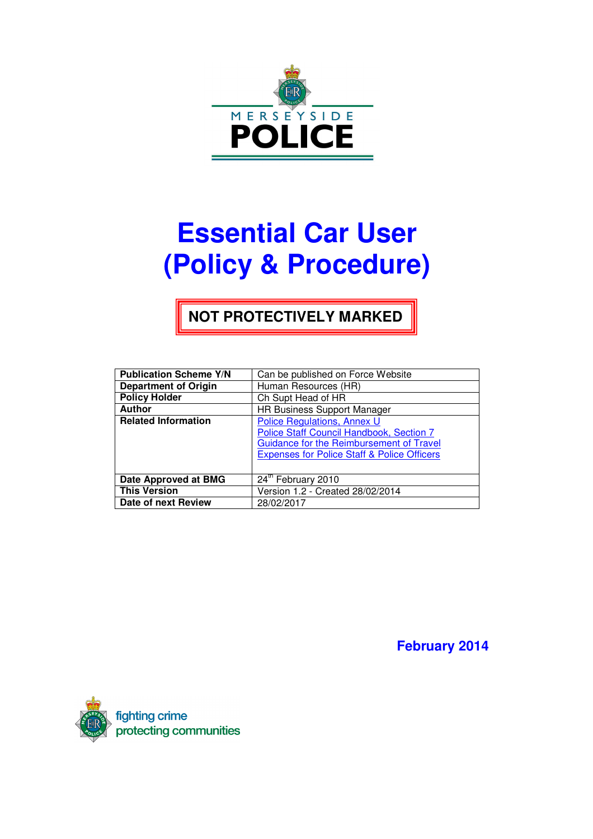

# **Essential Car User (Policy & Procedure)**

**NOT PROTECTIVELY MARKED** 

| <b>Publication Scheme Y/N</b> | Can be published on Force Website                                                                                                                                                    |
|-------------------------------|--------------------------------------------------------------------------------------------------------------------------------------------------------------------------------------|
| <b>Department of Origin</b>   | Human Resources (HR)                                                                                                                                                                 |
| <b>Policy Holder</b>          | Ch Supt Head of HR                                                                                                                                                                   |
| <b>Author</b>                 | <b>HR Business Support Manager</b>                                                                                                                                                   |
| <b>Related Information</b>    | <b>Police Regulations, Annex U</b><br>Police Staff Council Handbook, Section 7<br>Guidance for the Reimbursement of Travel<br><b>Expenses for Police Staff &amp; Police Officers</b> |
| Date Approved at BMG          | 24th February 2010                                                                                                                                                                   |
| <b>This Version</b>           | Version 1.2 - Created 28/02/2014                                                                                                                                                     |
| Date of next Review           | 28/02/2017                                                                                                                                                                           |

 **February 2014**

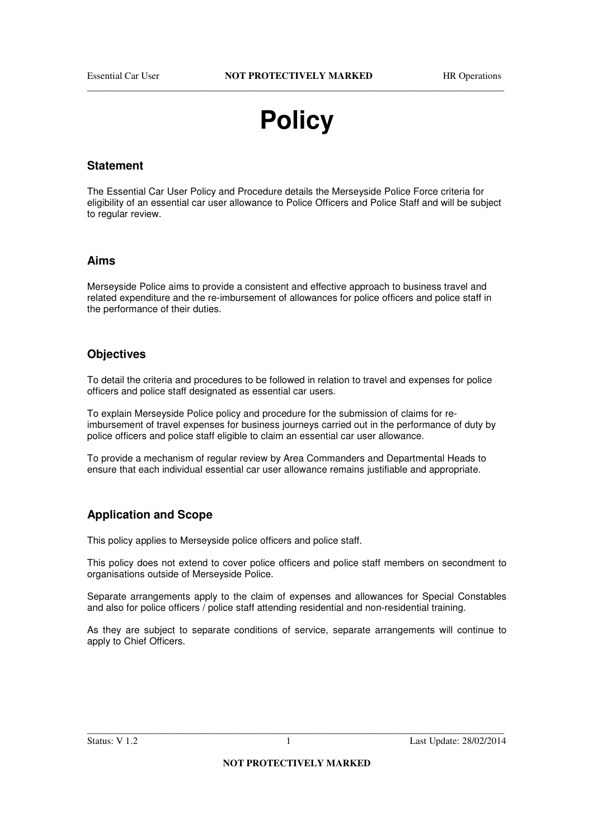## **Policy**

#### **Statement**

The Essential Car User Policy and Procedure details the Merseyside Police Force criteria for eligibility of an essential car user allowance to Police Officers and Police Staff and will be subject to regular review.

#### **Aims**

Merseyside Police aims to provide a consistent and effective approach to business travel and related expenditure and the re-imbursement of allowances for police officers and police staff in the performance of their duties.

#### **Objectives**

To detail the criteria and procedures to be followed in relation to travel and expenses for police officers and police staff designated as essential car users.

To explain Merseyside Police policy and procedure for the submission of claims for reimbursement of travel expenses for business journeys carried out in the performance of duty by police officers and police staff eligible to claim an essential car user allowance.

To provide a mechanism of regular review by Area Commanders and Departmental Heads to ensure that each individual essential car user allowance remains justifiable and appropriate.

#### **Application and Scope**

This policy applies to Merseyside police officers and police staff.

This policy does not extend to cover police officers and police staff members on secondment to organisations outside of Merseyside Police.

Separate arrangements apply to the claim of expenses and allowances for Special Constables and also for police officers / police staff attending residential and non-residential training.

As they are subject to separate conditions of service, separate arrangements will continue to apply to Chief Officers.

Status: V 1.2 1 Last Update: 28/02/2014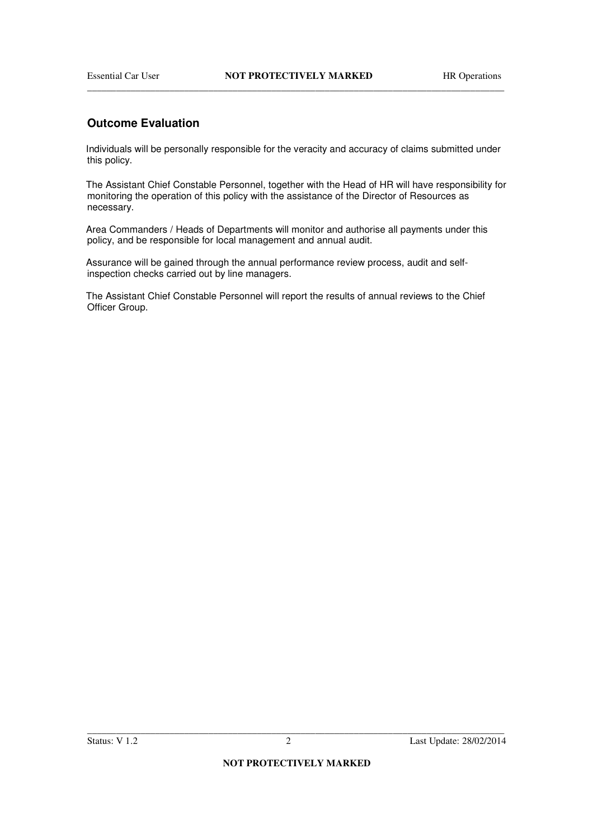#### **Outcome Evaluation**

Individuals will be personally responsible for the veracity and accuracy of claims submitted under this policy.

The Assistant Chief Constable Personnel, together with the Head of HR will have responsibility for monitoring the operation of this policy with the assistance of the Director of Resources as necessary.

Area Commanders / Heads of Departments will monitor and authorise all payments under this policy, and be responsible for local management and annual audit.

Assurance will be gained through the annual performance review process, audit and selfinspection checks carried out by line managers.

The Assistant Chief Constable Personnel will report the results of annual reviews to the Chief Officer Group.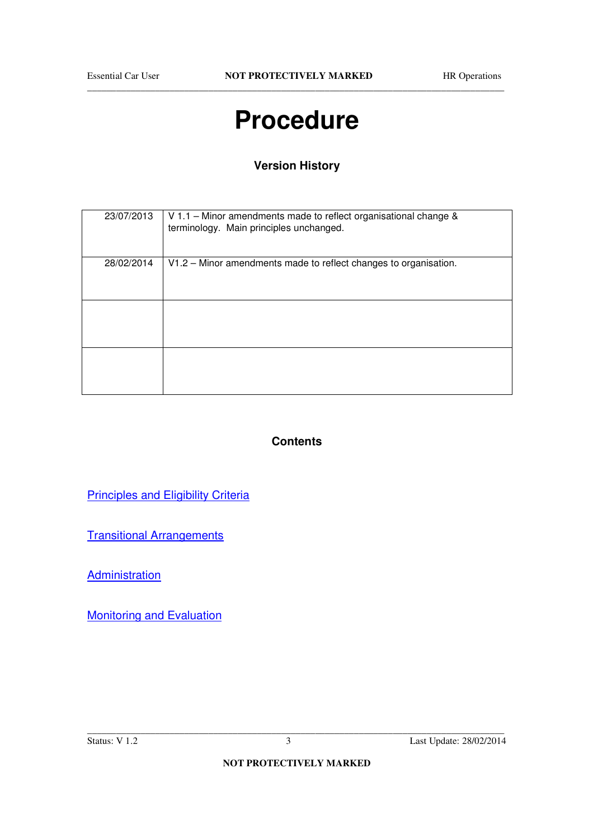## **Procedure**

## **Version History**

| 23/07/2013 | V 1.1 - Minor amendments made to reflect organisational change &<br>terminology. Main principles unchanged. |
|------------|-------------------------------------------------------------------------------------------------------------|
| 28/02/2014 | V1.2 – Minor amendments made to reflect changes to organisation.                                            |
|            |                                                                                                             |
|            |                                                                                                             |

#### **Contents**

**Principles and Eligibility Criteria** 

**Transitional Arrangements** 

**Administration** 

Monitoring and Evaluation

**NOT PROTECTIVELY MARKED**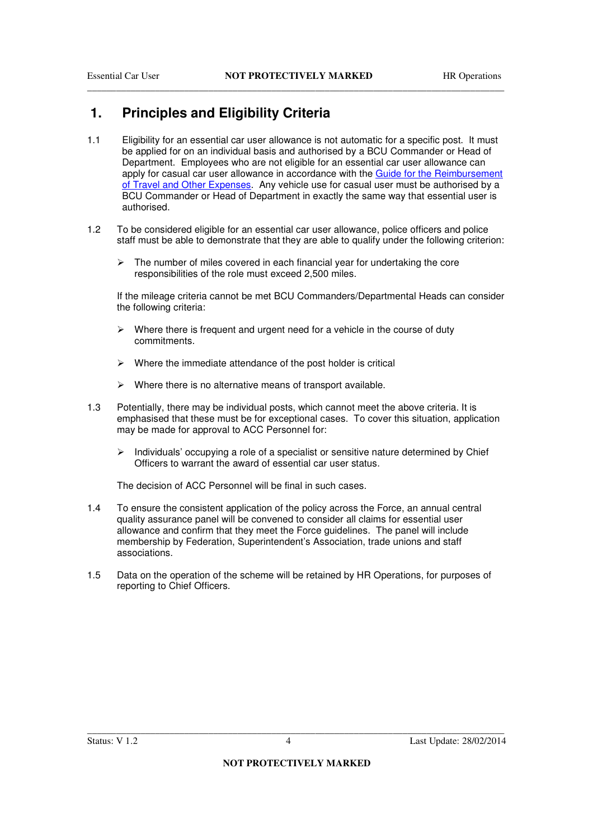## **1. Principles and Eligibility Criteria**

- 1.1 Eligibility for an essential car user allowance is not automatic for a specific post. It must be applied for on an individual basis and authorised by a BCU Commander or Head of Department. Employees who are not eligible for an essential car user allowance can apply for casual car user allowance in accordance with the Guide for the Reimbursement of Travel and Other Expenses. Any vehicle use for casual user must be authorised by a BCU Commander or Head of Department in exactly the same way that essential user is authorised.
- 1.2 To be considered eligible for an essential car user allowance, police officers and police staff must be able to demonstrate that they are able to qualify under the following criterion:
	- $\triangleright$  The number of miles covered in each financial year for undertaking the core responsibilities of the role must exceed 2,500 miles.

If the mileage criteria cannot be met BCU Commanders/Departmental Heads can consider the following criteria:

- $\triangleright$  Where there is frequent and urgent need for a vehicle in the course of duty commitments.
- $\triangleright$  Where the immediate attendance of the post holder is critical
- $\triangleright$  Where there is no alternative means of transport available.
- 1.3 Potentially, there may be individual posts, which cannot meet the above criteria. It is emphasised that these must be for exceptional cases. To cover this situation, application may be made for approval to ACC Personnel for:
	- $\triangleright$  Individuals' occupying a role of a specialist or sensitive nature determined by Chief Officers to warrant the award of essential car user status.

The decision of ACC Personnel will be final in such cases.

- 1.4 To ensure the consistent application of the policy across the Force, an annual central quality assurance panel will be convened to consider all claims for essential user allowance and confirm that they meet the Force guidelines. The panel will include membership by Federation, Superintendent's Association, trade unions and staff associations.
- 1.5 Data on the operation of the scheme will be retained by HR Operations, for purposes of reporting to Chief Officers.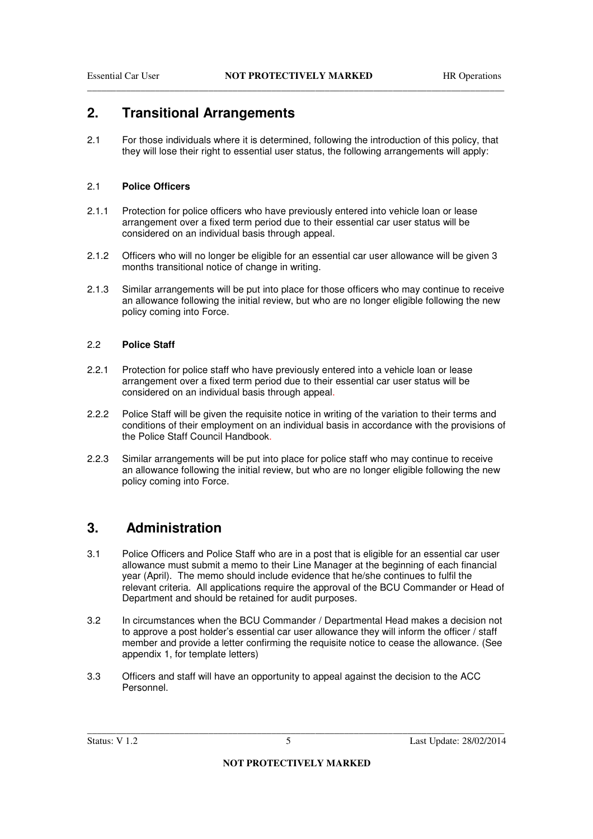## **2. Transitional Arrangements**

2.1 For those individuals where it is determined, following the introduction of this policy, that they will lose their right to essential user status, the following arrangements will apply:

#### 2.1 **Police Officers**

- 2.1.1 Protection for police officers who have previously entered into vehicle loan or lease arrangement over a fixed term period due to their essential car user status will be considered on an individual basis through appeal.
- 2.1.2 Officers who will no longer be eligible for an essential car user allowance will be given 3 months transitional notice of change in writing.
- 2.1.3 Similar arrangements will be put into place for those officers who may continue to receive an allowance following the initial review, but who are no longer eligible following the new policy coming into Force.

#### 2.2 **Police Staff**

- 2.2.1 Protection for police staff who have previously entered into a vehicle loan or lease arrangement over a fixed term period due to their essential car user status will be considered on an individual basis through appeal.
- 2.2.2 Police Staff will be given the requisite notice in writing of the variation to their terms and conditions of their employment on an individual basis in accordance with the provisions of the Police Staff Council Handbook.
- 2.2.3 Similar arrangements will be put into place for police staff who may continue to receive an allowance following the initial review, but who are no longer eligible following the new policy coming into Force.

## **3. Administration**

- 3.1 Police Officers and Police Staff who are in a post that is eligible for an essential car user allowance must submit a memo to their Line Manager at the beginning of each financial year (April). The memo should include evidence that he/she continues to fulfil the relevant criteria. All applications require the approval of the BCU Commander or Head of Department and should be retained for audit purposes.
- 3.2 In circumstances when the BCU Commander / Departmental Head makes a decision not to approve a post holder's essential car user allowance they will inform the officer / staff member and provide a letter confirming the requisite notice to cease the allowance. (See appendix 1, for template letters)
- 3.3 Officers and staff will have an opportunity to appeal against the decision to the ACC Personnel.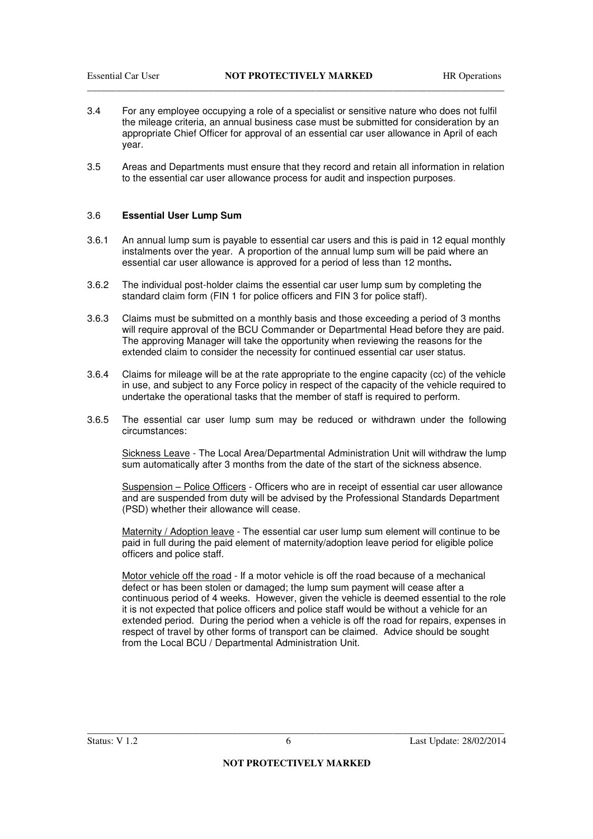- 3.4 For any employee occupying a role of a specialist or sensitive nature who does not fulfil the mileage criteria, an annual business case must be submitted for consideration by an appropriate Chief Officer for approval of an essential car user allowance in April of each year.
- 3.5 Areas and Departments must ensure that they record and retain all information in relation to the essential car user allowance process for audit and inspection purposes.

#### 3.6 **Essential User Lump Sum**

- 3.6.1 An annual lump sum is payable to essential car users and this is paid in 12 equal monthly instalments over the year. A proportion of the annual lump sum will be paid where an essential car user allowance is approved for a period of less than 12 months**.**
- 3.6.2 The individual post-holder claims the essential car user lump sum by completing the standard claim form (FIN 1 for police officers and FIN 3 for police staff).
- 3.6.3 Claims must be submitted on a monthly basis and those exceeding a period of 3 months will require approval of the BCU Commander or Departmental Head before they are paid. The approving Manager will take the opportunity when reviewing the reasons for the extended claim to consider the necessity for continued essential car user status.
- 3.6.4 Claims for mileage will be at the rate appropriate to the engine capacity (cc) of the vehicle in use, and subject to any Force policy in respect of the capacity of the vehicle required to undertake the operational tasks that the member of staff is required to perform.
- 3.6.5 The essential car user lump sum may be reduced or withdrawn under the following circumstances:

Sickness Leave - The Local Area/Departmental Administration Unit will withdraw the lump sum automatically after 3 months from the date of the start of the sickness absence.

Suspension – Police Officers - Officers who are in receipt of essential car user allowance and are suspended from duty will be advised by the Professional Standards Department (PSD) whether their allowance will cease.

Maternity / Adoption leave - The essential car user lump sum element will continue to be paid in full during the paid element of maternity/adoption leave period for eligible police officers and police staff.

Motor vehicle off the road - If a motor vehicle is off the road because of a mechanical defect or has been stolen or damaged; the lump sum payment will cease after a continuous period of 4 weeks. However, given the vehicle is deemed essential to the role it is not expected that police officers and police staff would be without a vehicle for an extended period. During the period when a vehicle is off the road for repairs, expenses in respect of travel by other forms of transport can be claimed. Advice should be sought from the Local BCU / Departmental Administration Unit.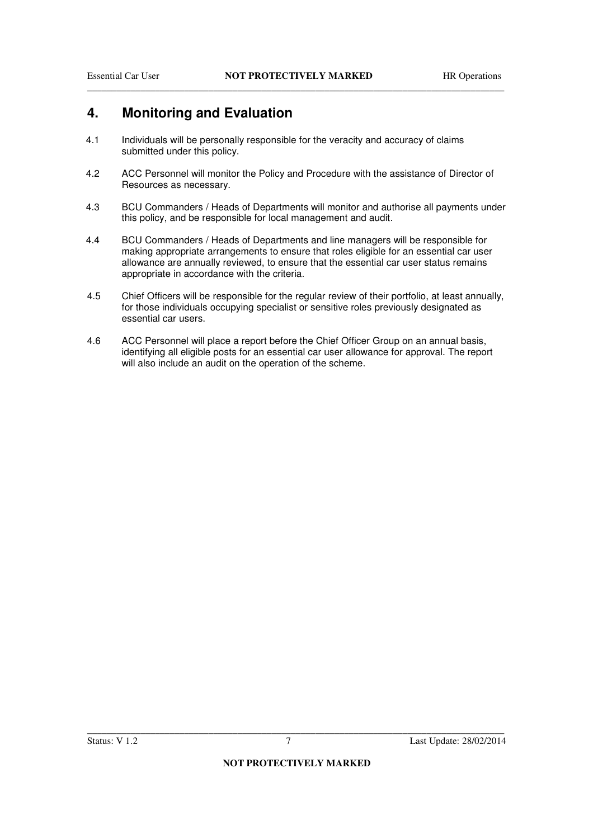## **4. Monitoring and Evaluation**

- 4.1 Individuals will be personally responsible for the veracity and accuracy of claims submitted under this policy.
- 4.2 ACC Personnel will monitor the Policy and Procedure with the assistance of Director of Resources as necessary.
- 4.3 BCU Commanders / Heads of Departments will monitor and authorise all payments under this policy, and be responsible for local management and audit.
- 4.4 BCU Commanders / Heads of Departments and line managers will be responsible for making appropriate arrangements to ensure that roles eligible for an essential car user allowance are annually reviewed, to ensure that the essential car user status remains appropriate in accordance with the criteria.
- 4.5 Chief Officers will be responsible for the regular review of their portfolio, at least annually, for those individuals occupying specialist or sensitive roles previously designated as essential car users.
- 4.6 ACC Personnel will place a report before the Chief Officer Group on an annual basis, identifying all eligible posts for an essential car user allowance for approval. The report will also include an audit on the operation of the scheme.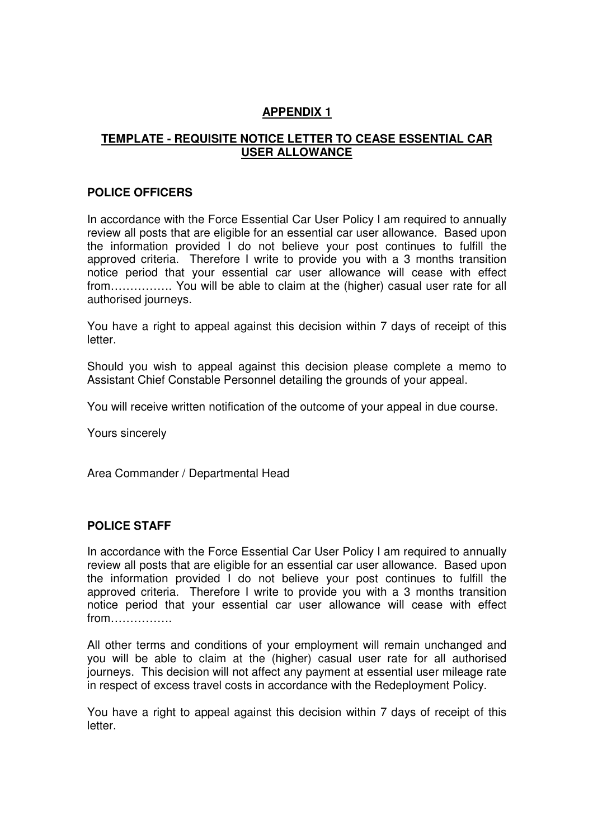## **APPENDIX 1**

## **TEMPLATE - REQUISITE NOTICE LETTER TO CEASE ESSENTIAL CAR USER ALLOWANCE**

#### **POLICE OFFICERS**

In accordance with the Force Essential Car User Policy I am required to annually review all posts that are eligible for an essential car user allowance. Based upon the information provided I do not believe your post continues to fulfill the approved criteria. Therefore I write to provide you with a 3 months transition notice period that your essential car user allowance will cease with effect from……………. You will be able to claim at the (higher) casual user rate for all authorised journeys.

You have a right to appeal against this decision within 7 days of receipt of this letter.

Should you wish to appeal against this decision please complete a memo to Assistant Chief Constable Personnel detailing the grounds of your appeal.

You will receive written notification of the outcome of your appeal in due course.

Yours sincerely

Area Commander / Departmental Head

## **POLICE STAFF**

In accordance with the Force Essential Car User Policy I am required to annually review all posts that are eligible for an essential car user allowance. Based upon the information provided I do not believe your post continues to fulfill the approved criteria. Therefore I write to provide you with a 3 months transition notice period that your essential car user allowance will cease with effect from…………….

All other terms and conditions of your employment will remain unchanged and you will be able to claim at the (higher) casual user rate for all authorised journeys. This decision will not affect any payment at essential user mileage rate in respect of excess travel costs in accordance with the Redeployment Policy.

You have a right to appeal against this decision within 7 days of receipt of this letter.